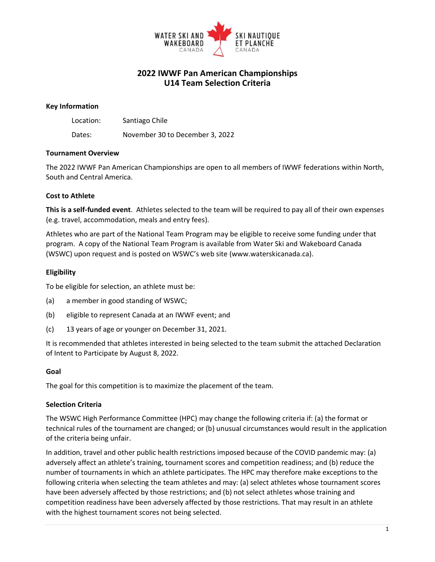

# **2022 IWWF Pan American Championships U14 Team Selection Criteria**

#### **Key Information**

| Location: | Santiago Chile                  |
|-----------|---------------------------------|
| Dates:    | November 30 to December 3, 2022 |

#### **Tournament Overview**

The 2022 IWWF Pan American Championships are open to all members of IWWF federations within North, South and Central America.

#### **Cost to Athlete**

**This is a self-funded event**. Athletes selected to the team will be required to pay all of their own expenses (e.g. travel, accommodation, meals and entry fees).

Athletes who are part of the National Team Program may be eligible to receive some funding under that program. A copy of the National Team Program is available from Water Ski and Wakeboard Canada (WSWC) upon request and is posted on WSWC's web site (www.waterskicanada.ca).

#### **Eligibility**

To be eligible for selection, an athlete must be:

- (a) a member in good standing of WSWC;
- (b) eligible to represent Canada at an IWWF event; and
- (c) 13 years of age or younger on December 31, 2021.

It is recommended that athletes interested in being selected to the team submit the attached Declaration of Intent to Participate by August 8, 2022.

#### **Goal**

The goal for this competition is to maximize the placement of the team.

#### **Selection Criteria**

The WSWC High Performance Committee (HPC) may change the following criteria if: (a) the format or technical rules of the tournament are changed; or (b) unusual circumstances would result in the application of the criteria being unfair.

In addition, travel and other public health restrictions imposed because of the COVID pandemic may: (a) adversely affect an athlete's training, tournament scores and competition readiness; and (b) reduce the number of tournaments in which an athlete participates. The HPC may therefore make exceptions to the following criteria when selecting the team athletes and may: (a) select athletes whose tournament scores have been adversely affected by those restrictions; and (b) not select athletes whose training and competition readiness have been adversely affected by those restrictions. That may result in an athlete with the highest tournament scores not being selected.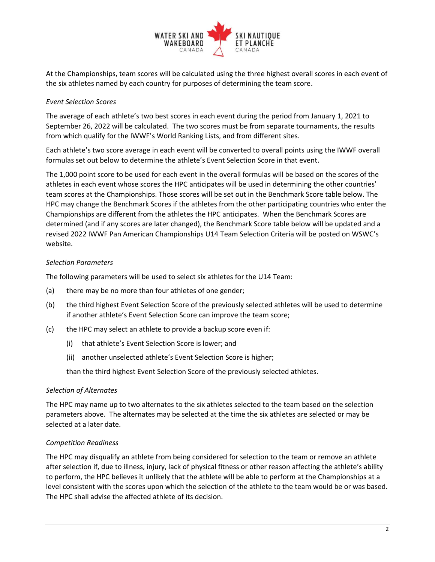

At the Championships, team scores will be calculated using the three highest overall scores in each event of the six athletes named by each country for purposes of determining the team score.

## *Event Selection Scores*

The average of each athlete's two best scores in each event during the period from January 1, 2021 to September 26, 2022 will be calculated. The two scores must be from separate tournaments, the results from which qualify for the IWWF's World Ranking Lists, and from different sites.

Each athlete's two score average in each event will be converted to overall points using the IWWF overall formulas set out below to determine the athlete's Event Selection Score in that event.

The 1,000 point score to be used for each event in the overall formulas will be based on the scores of the athletes in each event whose scores the HPC anticipates will be used in determining the other countries' team scores at the Championships. Those scores will be set out in the Benchmark Score table below. The HPC may change the Benchmark Scores if the athletes from the other participating countries who enter the Championships are different from the athletes the HPC anticipates. When the Benchmark Scores are determined (and if any scores are later changed), the Benchmark Score table below will be updated and a revised 2022 IWWF Pan American Championships U14 Team Selection Criteria will be posted on WSWC's website.

#### *Selection Parameters*

The following parameters will be used to select six athletes for the U14 Team:

- (a) there may be no more than four athletes of one gender;
- (b) the third highest Event Selection Score of the previously selected athletes will be used to determine if another athlete's Event Selection Score can improve the team score;
- (c) the HPC may select an athlete to provide a backup score even if:
	- (i) that athlete's Event Selection Score is lower; and
	- (ii) another unselected athlete's Event Selection Score is higher;

than the third highest Event Selection Score of the previously selected athletes.

#### *Selection of Alternates*

The HPC may name up to two alternates to the six athletes selected to the team based on the selection parameters above. The alternates may be selected at the time the six athletes are selected or may be selected at a later date.

#### *Competition Readiness*

The HPC may disqualify an athlete from being considered for selection to the team or remove an athlete after selection if, due to illness, injury, lack of physical fitness or other reason affecting the athlete's ability to perform, the HPC believes it unlikely that the athlete will be able to perform at the Championships at a level consistent with the scores upon which the selection of the athlete to the team would be or was based. The HPC shall advise the affected athlete of its decision.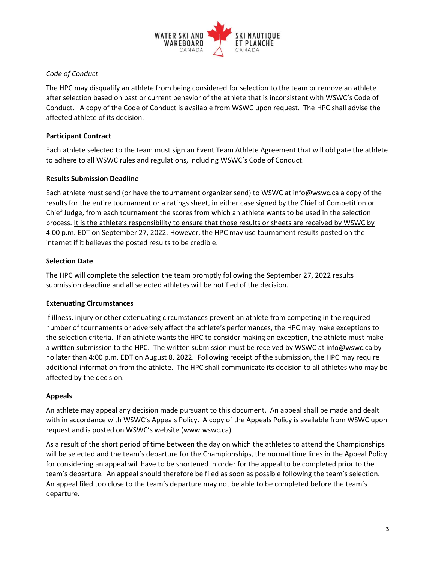

## *Code of Conduct*

The HPC may disqualify an athlete from being considered for selection to the team or remove an athlete after selection based on past or current behavior of the athlete that is inconsistent with WSWC's Code of Conduct. A copy of the Code of Conduct is available from WSWC upon request. The HPC shall advise the affected athlete of its decision.

## **Participant Contract**

Each athlete selected to the team must sign an Event Team Athlete Agreement that will obligate the athlete to adhere to all WSWC rules and regulations, including WSWC's Code of Conduct.

### **Results Submission Deadline**

Each athlete must send (or have the tournament organizer send) to WSWC at info@wswc.ca a copy of the results for the entire tournament or a ratings sheet, in either case signed by the Chief of Competition or Chief Judge, from each tournament the scores from which an athlete wants to be used in the selection process. It is the athlete's responsibility to ensure that those results or sheets are received by WSWC by 4:00 p.m. EDT on September 27, 2022. However, the HPC may use tournament results posted on the internet if it believes the posted results to be credible.

### **Selection Date**

The HPC will complete the selection the team promptly following the September 27, 2022 results submission deadline and all selected athletes will be notified of the decision.

#### **Extenuating Circumstances**

If illness, injury or other extenuating circumstances prevent an athlete from competing in the required number of tournaments or adversely affect the athlete's performances, the HPC may make exceptions to the selection criteria. If an athlete wants the HPC to consider making an exception, the athlete must make a written submission to the HPC. The written submission must be received by WSWC at info@wswc.ca by no later than 4:00 p.m. EDT on August 8, 2022. Following receipt of the submission, the HPC may require additional information from the athlete. The HPC shall communicate its decision to all athletes who may be affected by the decision.

## **Appeals**

An athlete may appeal any decision made pursuant to this document. An appeal shall be made and dealt with in accordance with WSWC's Appeals Policy. A copy of the Appeals Policy is available from WSWC upon request and is posted on WSWC's website (www.wswc.ca).

As a result of the short period of time between the day on which the athletes to attend the Championships will be selected and the team's departure for the Championships, the normal time lines in the Appeal Policy for considering an appeal will have to be shortened in order for the appeal to be completed prior to the team's departure. An appeal should therefore be filed as soon as possible following the team's selection. An appeal filed too close to the team's departure may not be able to be completed before the team's departure.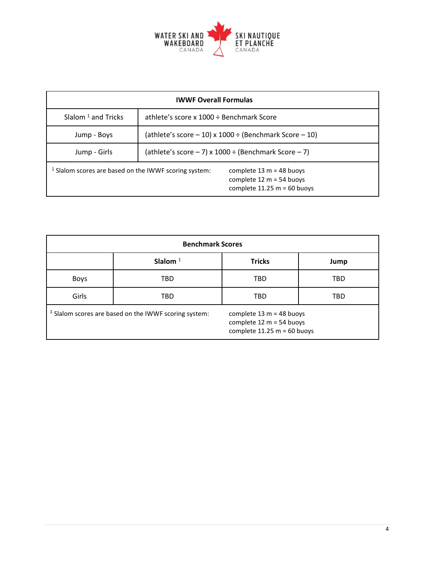

| <b>IWWF Overall Formulas</b>                            |                                                                                           |  |  |  |
|---------------------------------------------------------|-------------------------------------------------------------------------------------------|--|--|--|
| Slalom $1$ and Tricks                                   | athlete's score x 1000 ÷ Benchmark Score                                                  |  |  |  |
| Jump - Boys                                             | (athlete's score $-10$ ) x 1000 ÷ (Benchmark Score $-10$ )                                |  |  |  |
| Jump - Girls                                            | (athlete's score $-7$ ) x 1000 ÷ (Benchmark Score $-7$ )                                  |  |  |  |
| $1$ Slalom scores are based on the IWWF scoring system: | complete $13 m = 48$ buoys<br>complete $12 m = 54$ buoys<br>complete $11.25 m = 60$ buoys |  |  |  |

| <b>Benchmark Scores</b>                                          |            |                                                                                         |            |  |  |
|------------------------------------------------------------------|------------|-----------------------------------------------------------------------------------------|------------|--|--|
|                                                                  | Slalom $1$ | <b>Tricks</b>                                                                           | Jump       |  |  |
| <b>Boys</b>                                                      | TBD        | TBD                                                                                     | <b>TBD</b> |  |  |
| Girls                                                            | TBD        | <b>TBD</b>                                                                              | <b>TBD</b> |  |  |
| <sup>1</sup> Slalom scores are based on the IWWF scoring system: |            | complete $13 m = 48$ buoys<br>complete 12 m = 54 buoys<br>complete $11.25 m = 60$ buoys |            |  |  |